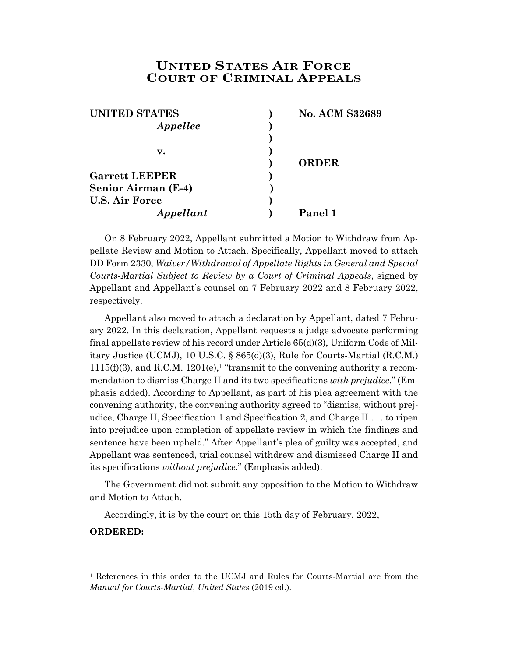## **UNITED STATES AIR FORCE COURT OF CRIMINAL APPEALS**

| <b>UNITED STATES</b>       | <b>No. ACM S32689</b> |
|----------------------------|-----------------------|
| Appellee                   |                       |
|                            |                       |
| v.                         |                       |
|                            | <b>ORDER</b>          |
| <b>Garrett LEEPER</b>      |                       |
| <b>Senior Airman (E-4)</b> |                       |
| <b>U.S. Air Force</b>      |                       |
| Appellant                  | Panel 1               |

On 8 February 2022, Appellant submitted a Motion to Withdraw from Appellate Review and Motion to Attach. Specifically, Appellant moved to attach DD Form 2330, *Waiver/Withdrawal of Appellate Rights in General and Special Courts-Martial Subject to Review by a Court of Criminal Appeals*, signed by Appellant and Appellant's counsel on 7 February 2022 and 8 February 2022, respectively.

Appellant also moved to attach a declaration by Appellant, dated 7 February 2022. In this declaration, Appellant requests a judge advocate performing final appellate review of his record under Article 65(d)(3), Uniform Code of Military Justice (UCMJ), 10 U.S.C. § 865(d)(3), Rule for Courts-Martial (R.C.M.)  $1115(f)(3)$ , and R.C.M.  $1201(e)$ ,<sup>1</sup> "transmit to the convening authority a recommendation to dismiss Charge II and its two specifications *with prejudice*." (Emphasis added). According to Appellant, as part of his plea agreement with the convening authority, the convening authority agreed to "dismiss, without prejudice, Charge II, Specification 1 and Specification 2, and Charge II . . . to ripen into prejudice upon completion of appellate review in which the findings and sentence have been upheld." After Appellant's plea of guilty was accepted, and Appellant was sentenced, trial counsel withdrew and dismissed Charge II and its specifications *without prejudice*." (Emphasis added).

The Government did not submit any opposition to the Motion to Withdraw and Motion to Attach.

Accordingly, it is by the court on this 15th day of February, 2022,

## **ORDERED:**

l

<sup>1</sup> References in this order to the UCMJ and Rules for Courts-Martial are from the *Manual for Courts-Martial*, *United States* (2019 ed.).